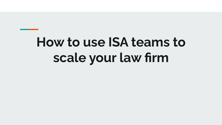## **How to use ISA teams to scale your law firm**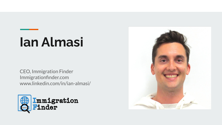### **Ian Almasi**

CEO, Immigration Finder Immigrationfinder.com www.linkedin.com/in/ian-almasi/



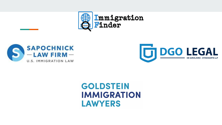





#### **GOLDSTEIN IMMIGRATION LAWYERS**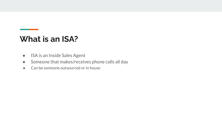#### **What is an ISA?**

- ISA is an Inside Sales Agent
- Someone that makes/receives phone calls all day
- Can be someone outsourced or in house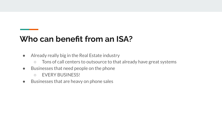#### **Who can benefit from an ISA?**

- Already really big in the Real Estate industry
	- Tons of call centers to outsource to that already have great systems
- Businesses that need people on the phone
	- EVERY BUSINESS!
- Businesses that are heavy on phone sales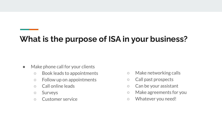#### **What is the purpose of ISA in your business?**

- Make phone call for your clients
	- Book leads to appointments
	- Follow up on appointments
	- Call online leads
	- Surveys
	- Customer service
- Make networking calls
- Call past prospects
- Can be your assistant
- Make agreements for you
- Whatever you need!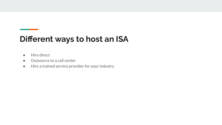#### **Different ways to host an ISA**

- Hire direct
- Outsource to a call center
- Hire a trained service provider for your industry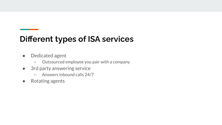#### **Different types of ISA services**

- Dedicated agent
	- Outsourced employee you pair with a company
- 3rd party answering service
	- Answers inbound calls 24/7
- Rotating agents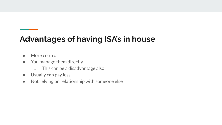#### **Advantages of having ISA's in house**

- More control
- You manage them directly
	- This can be a disadvantage also
- Usually can pay less
- Not relying on relationship with someone else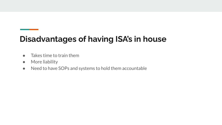#### **Disadvantages of having ISA's in house**

- Takes time to train them
- More liability
- Need to have SOPs and systems to hold them accountable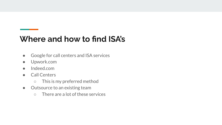#### **Where and how to find ISA's**

- Google for call centers and ISA services
- Upwork.com
- Indeed.com
- Call Centers
	- This is my preferred method
- Outsource to an existing team
	- There are a lot of these services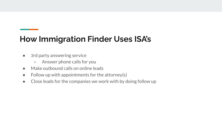#### **How Immigration Finder Uses ISA's**

- 3rd party answering service
	- Answer phone calls for you
- Make outbound calls on online leads
- $\bullet$  Follow up with appointments for the attorney(s)
- Close leads for the companies we work with by doing follow up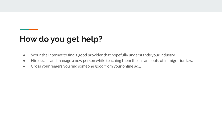#### **How do you get help?**

- Scour the internet to find a good provider that hopefully understands your industry.
- Hire, train, and manage a new person while teaching them the ins and outs of immigration law.
- Cross your fingers you find someone good from your online ad...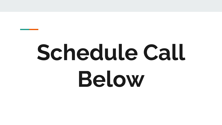# **Schedule Call Below**